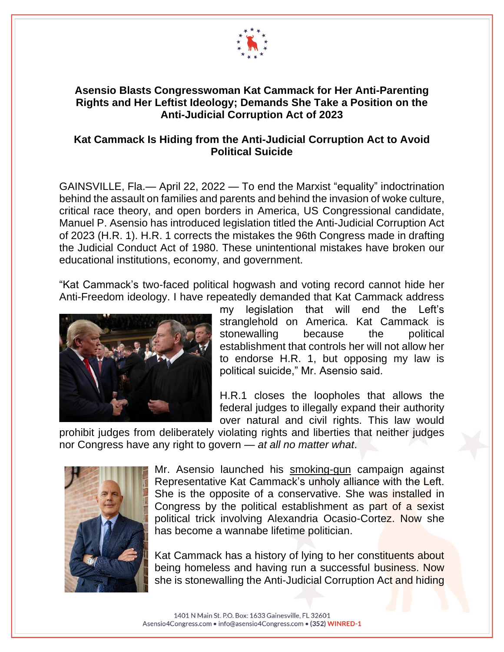

## **Asensio Blasts Congresswoman Kat Cammack for Her Anti-Parenting Rights and Her Leftist Ideology; Demands She Take a Position on the Anti-Judicial Corruption Act of 2023**

## **Kat Cammack Is Hiding from the Anti-Judicial Corruption Act to Avoid Political Suicide**

GAINSVILLE, Fla.— April 22, 2022 — To end the Marxist "equality" indoctrination behind the assault on families and parents and behind the invasion of woke culture, critical race theory, and open borders in America, US Congressional candidate, Manuel P. Asensio has introduced legislation titled the Anti-Judicial Corruption Act of 2023 (H.R. 1). H.R. 1 corrects the mistakes the 96th Congress made in drafting the Judicial Conduct Act of 1980. These unintentional mistakes have broken our educational institutions, economy, and government.

"Kat Cammack's two-faced political hogwash and voting record cannot hide her Anti-Freedom ideology. I have repeatedly demanded that Kat Cammack address



my legislation that will end the Left's stranglehold on America. Kat Cammack is stonewalling because the political establishment that controls her will not allow her to endorse H.R. 1, but opposing my law is political suicide," Mr. Asensio said.

H.R.1 closes the loopholes that allows the federal judges to illegally expand their authority over natural and civil rights. This law would

prohibit judges from deliberately violating rights and liberties that neither judges nor Congress have any right to govern — *at all no matter what*.



Mr. Asensio launched his [smoking-gun](https://1be796b9-764e-456f-a7c1-f4570dd44d2a.usrfiles.com/ugd/1be796_ab5ce5060d20470f9505e24916e319ea.pdf) campaign against Representative Kat Cammack's unholy alliance with the Left. She is the opposite of a conservative. She was installed in Congress by the political establishment as part of a sexist political trick involving Alexandria Ocasio-Cortez. Now she has become a wannabe lifetime politician.

Kat Cammack has a history of lying to her constituents about being homeless and having run a successful business. Now she is stonewalling the Anti-Judicial Corruption Act and hiding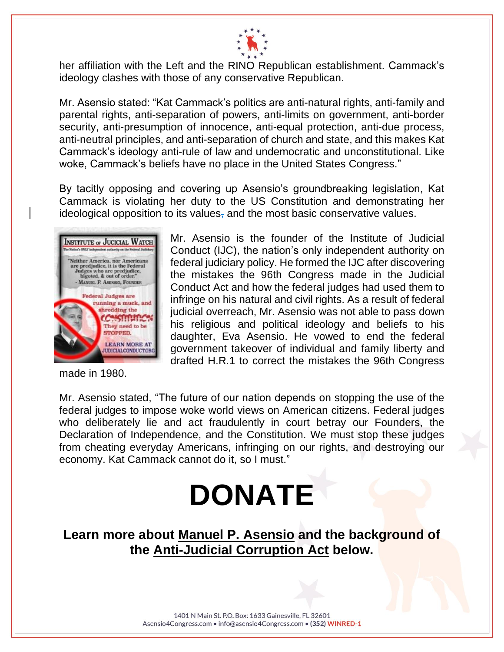

her affiliation with the Left and the RINO Republican establishment. Cammack's ideology clashes with those of any conservative Republican.

Mr. Asensio stated: "Kat Cammack's politics are anti-natural rights, anti-family and parental rights, anti-separation of powers, anti-limits on government, anti-border security, anti-presumption of innocence, anti-equal protection, anti-due process, anti-neutral principles, and anti-separation of church and state, and this makes Kat Cammack's ideology anti-rule of law and undemocratic and unconstitutional. Like woke, Cammack's beliefs have no place in the United States Congress."

By tacitly opposing and covering up Asensio's groundbreaking legislation, Kat Cammack is violating her duty to the US Constitution and demonstrating her ideological opposition to its values, and the most basic conservative values.



made in 1980.

Mr. Asensio is the founder of the Institute of Judicial Conduct (IJC), the nation's only independent authority on federal judiciary policy. He formed the IJC after discovering the mistakes the 96th Congress made in the Judicial Conduct Act and how the federal judges had used them to infringe on his natural and civil rights. As a result of federal judicial overreach, Mr. Asensio was not able to pass down his religious and political ideology and beliefs to his daughter, Eva Asensio. He vowed to end the federal government takeover of individual and family liberty and drafted H.R.1 to correct the mistakes the 96th Congress

Mr. Asensio stated, "The future of our nation depends on stopping the use of the federal judges to impose woke world views on American citizens. Federal judges who deliberately lie and act fraudulently in court betray our Founders, the Declaration of Independence, and the Constitution. We must stop these judges from cheating everyday Americans, infringing on our rights, and destroying our economy. Kat Cammack cannot do it, so I must."

## **[DONATE](https://secure.winred.com/asensio4congress/donate-today)**

**Learn more about [Manuel P. Asensio](https://www.asensio4congress.com/copy-of-about) and the background of the [Anti-Judicial Corruption Act](https://www.asensio4congress.com/_files/ugd/1be796_41e7b2d2db364573881a041a566c40f1.pdf) below.**

> 1401 N Main St. P.O. Box: 1633 Gainesville, FL 32601 Asensio4Congress.com · info@asensio4Congress.com · (352) WINRED-1